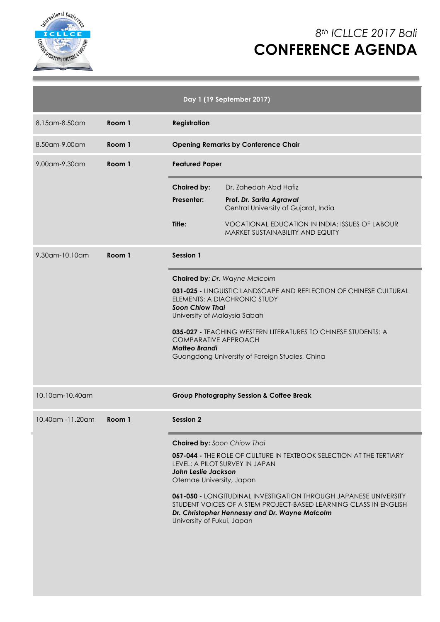

# *8th ICLLCE 2017 Bali* **CONFERENCE AGENDA**

|                      |                                                                                        |                                                     | Day 1 (19 September 2017)                                                                                                                                                                     |
|----------------------|----------------------------------------------------------------------------------------|-----------------------------------------------------|-----------------------------------------------------------------------------------------------------------------------------------------------------------------------------------------------|
| 8.15 am - 8.50 am    | Room 1                                                                                 | <b>Registration</b>                                 |                                                                                                                                                                                               |
| 8.50am-9.00am        | Room 1                                                                                 |                                                     | <b>Opening Remarks by Conference Chair</b>                                                                                                                                                    |
| $9.00$ am- $9.30$ am | Room 1                                                                                 | <b>Featured Paper</b>                               |                                                                                                                                                                                               |
|                      |                                                                                        | <b>Chaired by:</b>                                  | Dr. Zahedah Abd Hafiz                                                                                                                                                                         |
|                      |                                                                                        | Presenter:                                          | Prof. Dr. Sarita Agrawal<br>Central University of Gujarat, India                                                                                                                              |
|                      |                                                                                        | Title:                                              | <b>VOCATIONAL EDUCATION IN INDIA: ISSUES OF LABOUR</b><br>MARKET SUSTAINABILITY AND EQUITY                                                                                                    |
| 9.30am-10.10am       | Room 1                                                                                 | <b>Session 1</b>                                    |                                                                                                                                                                                               |
|                      |                                                                                        |                                                     | Chaired by: Dr. Wayne Malcolm                                                                                                                                                                 |
|                      | ELEMENTS: A DIACHRONIC STUDY<br><b>Soon Chiow Thai</b><br>University of Malaysia Sabah |                                                     | 031-025 - LINGUISTIC LANDSCAPE AND REFLECTION OF CHINESE CULTURAL                                                                                                                             |
|                      |                                                                                        | <b>COMPARATIVE APPROACH</b><br><b>Matteo Brandi</b> | 035-027 - TEACHING WESTERN LITERATURES TO CHINESE STUDENTS: A<br>Guangdong University of Foreign Studies, China                                                                               |
| 10.10am-10.40am      |                                                                                        |                                                     | <b>Group Photography Session &amp; Coffee Break</b>                                                                                                                                           |
| 10.40am -11.20am     | Room 1                                                                                 | Session 2                                           |                                                                                                                                                                                               |
|                      |                                                                                        | <b>Chaired by: Soon Chiow Thai</b>                  |                                                                                                                                                                                               |
|                      |                                                                                        | John Leslie Jackson<br>Otemae University, Japan     | 057-044 - THE ROLE OF CULTURE IN TEXTBOOK SELECTION AT THE TERTIARY<br>LEVEL: A PILOT SURVEY IN JAPAN                                                                                         |
|                      |                                                                                        | University of Fukui, Japan                          | <b>061-050 - LONGITUDINAL INVESTIGATION THROUGH JAPANESE UNIVERSITY</b><br>STUDENT VOICES OF A STEM PROJECT-BASED LEARNING CLASS IN ENGLISH<br>Dr. Christopher Hennessy and Dr. Wayne Malcolm |
|                      |                                                                                        |                                                     |                                                                                                                                                                                               |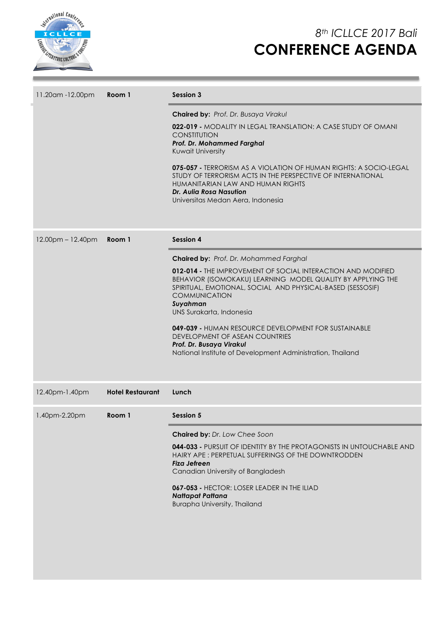

# *8th ICLLCE 2017 Bali* **CONFERENCE AGENDA**

| 11.20am -12.00pm  | Room 1                  | Session 3                                                                                                                                                                                                                                                                                                                                                                                                                                                                               |
|-------------------|-------------------------|-----------------------------------------------------------------------------------------------------------------------------------------------------------------------------------------------------------------------------------------------------------------------------------------------------------------------------------------------------------------------------------------------------------------------------------------------------------------------------------------|
|                   |                         | Chaired by: Prof. Dr. Busaya Virakul<br>022-019 - MODALITY IN LEGAL TRANSLATION: A CASE STUDY OF OMANI<br><b>CONSTITUTION</b><br>Prof. Dr. Mohammed Farghal<br>Kuwait University<br>075-057 - TERRORISM AS A VIOLATION OF HUMAN RIGHTS: A SOCIO-LEGAL<br>STUDY OF TERRORISM ACTS IN THE PERSPECTIVE OF INTERNATIONAL<br>HUMANITARIAN LAW AND HUMAN RIGHTS<br>Dr. Aulia Rosa Nasution<br>Universitas Medan Aera, Indonesia                                                               |
| 12.00pm - 12.40pm | Room 1                  | <b>Session 4</b>                                                                                                                                                                                                                                                                                                                                                                                                                                                                        |
|                   |                         | Chaired by: Prof. Dr. Mohammed Farghal<br>012-014 - THE IMPROVEMENT OF SOCIAL INTERACTION AND MODIFIED<br>BEHAVIOR (ISOMOKAKU) LEARNING MODEL QUALITY BY APPLYING THE<br>SPIRITUAL, EMOTIONAL, SOCIAL AND PHYSICAL-BASED (SESSOSIF)<br><b>COMMUNICATION</b><br>Suyahman<br>UNS Surakarta, Indonesia<br>049-039 - HUMAN RESOURCE DEVELOPMENT FOR SUSTAINABLE<br>DEVELOPMENT OF ASEAN COUNTRIES<br>Prof. Dr. Busaya Virakul<br>National Institute of Development Administration, Thailand |
| 12.40pm-1.40pm    | <b>Hotel Restaurant</b> | Lunch                                                                                                                                                                                                                                                                                                                                                                                                                                                                                   |
| 1.40pm-2.20pm     | Room 1                  | Session 5                                                                                                                                                                                                                                                                                                                                                                                                                                                                               |
|                   |                         | Chaired by: Dr. Low Chee Soon<br>044-033 - PURSUIT OF IDENTITY BY THE PROTAGONISTS IN UNTOUCHABLE AND<br>HAIRY APE: PERPETUAL SUFFERINGS OF THE DOWNTRODDEN<br>Fiza Jefreen<br>Canadian University of Bangladesh<br>067-053 - HECTOR: LOSER LEADER IN THE ILIAD<br>Nattapat Pattana<br><b>Burapha University, Thailand</b>                                                                                                                                                              |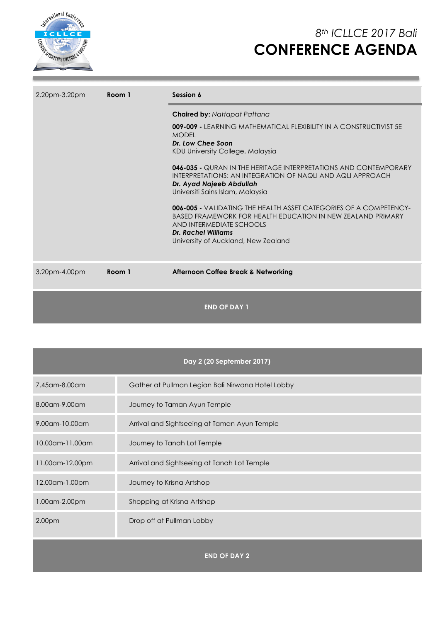

# *8th ICLLCE 2017 Bali* **CONFERENCE AGENDA**

| 2.20pm-3.20pm | Room 1 | Session 6                                                                                                                                                                                                                                |
|---------------|--------|------------------------------------------------------------------------------------------------------------------------------------------------------------------------------------------------------------------------------------------|
|               |        | <b>Chaired by: Nattapat Pattana</b>                                                                                                                                                                                                      |
|               |        | 009-009 - LEARNING MATHEMATICAL FLEXIBILITY IN A CONSTRUCTIVIST 5E<br><b>MODEL</b>                                                                                                                                                       |
|               |        | Dr. Low Chee Soon<br>KDU University College, Malaysia                                                                                                                                                                                    |
|               |        | <b>046-035 -</b> QURAN IN THE HERITAGE INTERPRETATIONS AND CONTEMPORARY<br>INTERPRETATIONS: AN INTEGRATION OF NAQLI AND AQLI APPROACH<br>Dr. Ayad Najeeb Abdullah<br>Universiti Sains Islam, Malaysia                                    |
|               |        | <b>006-005 -</b> VALIDATING THE HEALTH ASSET CATEGORIES OF A COMPETENCY-<br><b>BASED FRAMEWORK FOR HEALTH EDUCATION IN NEW ZEALAND PRIMARY</b><br>AND INTERMEDIATE SCHOOLS<br>Dr. Rachel Williams<br>University of Auckland, New Zealand |
| 3.20pm-4.00pm | Room 1 | Afternoon Coffee Break & Networking                                                                                                                                                                                                      |
|               |        | <b>END OF DAY 1</b>                                                                                                                                                                                                                      |

|                   | Day 2 (20 September 2017)                         |
|-------------------|---------------------------------------------------|
| 7.45 am - 8.00 am | Gather at Pullman Legian Bali Nirwana Hotel Lobby |
| 8.00am-9.00am     | Journey to Taman Ayun Temple                      |
| $9.00$ am-10.00am | Arrival and Sightseeing at Taman Ayun Temple      |
| 10.00am-11.00am   | Journey to Tanah Lot Temple                       |
| 11.00am-12.00pm   | Arrival and Sightseeing at Tanah Lot Temple       |
| 12.00am-1.00pm    | Journey to Krisna Artshop                         |
| 1,00am-2.00pm     | Shopping at Krisna Artshop                        |
| 2.00pm            | Drop off at Pullman Lobby                         |
|                   | <b>END OF DAY 2</b>                               |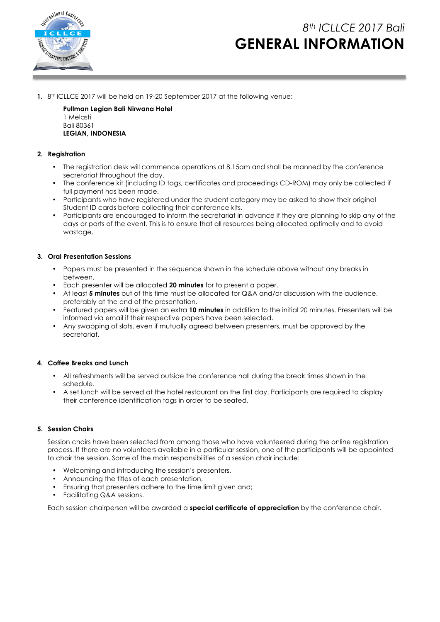

## *8th ICLLCE 2017 Bali* **GENERAL INFORMATION**

**1.** 8th ICLLCE 2017 will be held on 19-20 September 2017 at the following venue:

**Pullman Legian Bali Nirwana Hotel** 1 Melasti Bali 80361 **LEGIAN, INDONESIA**

## **2. Registration**

- The registration desk will commence operations at 8.15am and shall be manned by the conference secretariat throughout the day.
- The conference kit (including ID tags, certificates and proceedings CD-ROM) may only be collected if full payment has been made.
- Participants who have registered under the student category may be asked to show their original Student ID cards before collecting their conference kits.
- Participants are encouraged to inform the secretariat in advance if they are planning to skip any of the days or parts of the event. This is to ensure that all resources being allocated optimally and to avoid wastage.

#### **3. Oral Presentation Sessions**

- Papers must be presented in the sequence shown in the schedule above without any breaks in between.
- Each presenter will be allocated **20 minutes** for to present a paper.
- At least **5 minutes** out of this time must be allocated for Q&A and/or discussion with the audience, preferably at the end of the presentation.
- Featured papers will be given an extra **10 minutes** in addition to the initial 20 minutes. Presenters will be informed via email if their respective papers have been selected.
- Any swapping of slots, even if mutually agreed between presenters, must be approved by the secretariat.

## **4. Coffee Breaks and Lunch**

- All refreshments will be served outside the conference hall during the break times shown in the schedule.
- A set lunch will be served at the hotel restaurant on the first day. Participants are required to display their conference identification tags in order to be seated.

## **5. Session Chairs**

Session chairs have been selected from among those who have volunteered during the online registration process. If there are no volunteers available in a particular session, one of the participants will be appointed to chair the session. Some of the main responsibilities of a session chair include:

- Welcoming and introducing the session's presenters,
- Announcing the titles of each presentation,
- Ensuring that presenters adhere to the time limit given and;
- Facilitating Q&A sessions.

Each session chairperson will be awarded a **special certificate of appreciation** by the conference chair.